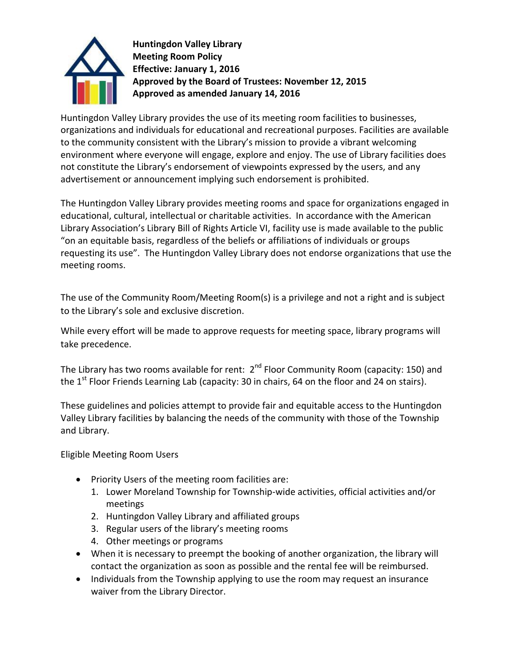

**Huntingdon Valley Library Meeting Room Policy Effective: January 1, 2016 Approved by the Board of Trustees: November 12, 2015 Approved as amended January 14, 2016**

Huntingdon Valley Library provides the use of its meeting room facilities to businesses, organizations and individuals for educational and recreational purposes. Facilities are available to the community consistent with the Library's mission to provide a vibrant welcoming environment where everyone will engage, explore and enjoy. The use of Library facilities does not constitute the Library's endorsement of viewpoints expressed by the users, and any advertisement or announcement implying such endorsement is prohibited.

The Huntingdon Valley Library provides meeting rooms and space for organizations engaged in educational, cultural, intellectual or charitable activities. In accordance with the American Library Association's Library Bill of Rights Article VI, facility use is made available to the public "on an equitable basis, regardless of the beliefs or affiliations of individuals or groups requesting its use". The Huntingdon Valley Library does not endorse organizations that use the meeting rooms.

The use of the Community Room/Meeting Room(s) is a privilege and not a right and is subject to the Library's sole and exclusive discretion.

While every effort will be made to approve requests for meeting space, library programs will take precedence.

The Library has two rooms available for rent: 2<sup>nd</sup> Floor Community Room (capacity: 150) and the  $1<sup>st</sup>$  Floor Friends Learning Lab (capacity: 30 in chairs, 64 on the floor and 24 on stairs).

These guidelines and policies attempt to provide fair and equitable access to the Huntingdon Valley Library facilities by balancing the needs of the community with those of the Township and Library.

Eligible Meeting Room Users

- Priority Users of the meeting room facilities are:
	- 1. Lower Moreland Township for Township-wide activities, official activities and/or meetings
	- 2. Huntingdon Valley Library and affiliated groups
	- 3. Regular users of the library's meeting rooms
	- 4. Other meetings or programs
- When it is necessary to preempt the booking of another organization, the library will contact the organization as soon as possible and the rental fee will be reimbursed.
- Individuals from the Township applying to use the room may request an insurance waiver from the Library Director.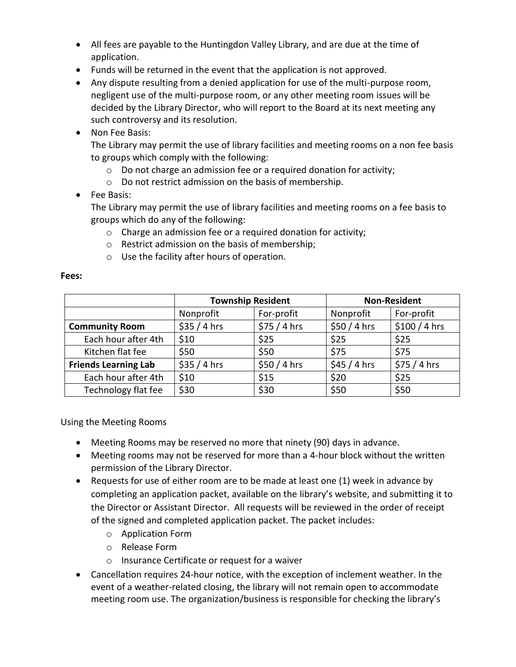- All fees are payable to the Huntingdon Valley Library, and are due at the time of application.
- Funds will be returned in the event that the application is not approved.
- Any dispute resulting from a denied application for use of the multi-purpose room, negligent use of the multi-purpose room, or any other meeting room issues will be decided by the Library Director, who will report to the Board at its next meeting any such controversy and its resolution.
- Non Fee Basis:

The Library may permit the use of library facilities and meeting rooms on a non fee basis to groups which comply with the following:

- o Do not charge an admission fee or a required donation for activity;
- o Do not restrict admission on the basis of membership.
- Fee Basis:

The Library may permit the use of library facilities and meeting rooms on a fee basis to groups which do any of the following:

- o Charge an admission fee or a required donation for activity;
- o Restrict admission on the basis of membership;
- o Use the facility after hours of operation.

|                             | <b>Township Resident</b> |             | <b>Non-Resident</b> |                |
|-----------------------------|--------------------------|-------------|---------------------|----------------|
|                             | Nonprofit                | For-profit  | Nonprofit           | For-profit     |
| <b>Community Room</b>       | \$35/4 hrs               | \$75/4 hrs  | \$50/4 hrs          | $$100 / 4$ hrs |
| Each hour after 4th         | \$10                     | \$25        | \$25                | \$25           |
| Kitchen flat fee            | \$50                     | \$50        | \$75                | \$75           |
| <b>Friends Learning Lab</b> | \$35/4 hrs               | $$50/4$ hrs | $$45/4$ hrs         | \$75/4 hrs     |
| Each hour after 4th         | \$10                     | \$15        | \$20                | \$25           |
| Technology flat fee         | \$30                     | \$30        | \$50                | \$50           |

**Fees:**

Using the Meeting Rooms

- Meeting Rooms may be reserved no more that ninety (90) days in advance.
- Meeting rooms may not be reserved for more than a 4-hour block without the written permission of the Library Director.
- Requests for use of either room are to be made at least one (1) week in advance by completing an application packet, available on the library's website, and submitting it to the Director or Assistant Director. All requests will be reviewed in the order of receipt of the signed and completed application packet. The packet includes:
	- o Application Form
	- o Release Form
	- o Insurance Certificate or request for a waiver
- Cancellation requires 24-hour notice, with the exception of inclement weather. In the event of a weather-related closing, the library will not remain open to accommodate meeting room use. The organization/business is responsible for checking the library's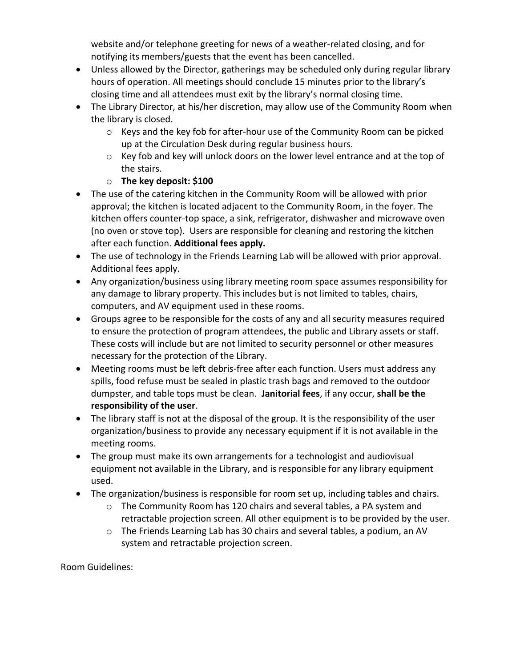website and/or telephone greeting for news of a weather-related closing, and for notifying its members/guests that the event has been cancelled.

- Unless allowed by the Director, gatherings may be scheduled only during regular library hours of operation. All meetings should conclude 15 minutes prior to the library's closing time and all attendees must exit by the library's normal closing time.
- The Library Director, at his/her discretion, may allow use of the Community Room when the library is closed.
	- $\circ$  Keys and the key fob for after-hour use of the Community Room can be picked up at the Circulation Desk during regular business hours.
	- $\circ$  Key fob and key will unlock doors on the lower level entrance and at the top of the stairs.
	- o **The key deposit: \$100**
- The use of the catering kitchen in the Community Room will be allowed with prior approval; the kitchen is located adjacent to the Community Room, in the foyer. The kitchen offers counter-top space, a sink, refrigerator, dishwasher and microwave oven (no oven or stove top). Users are responsible for cleaning and restoring the kitchen after each function. **Additional fees apply.**
- The use of technology in the Friends Learning Lab will be allowed with prior approval. Additional fees apply.
- Any organization/business using library meeting room space assumes responsibility for any damage to library property. This includes but is not limited to tables, chairs, computers, and AV equipment used in these rooms.
- Groups agree to be responsible for the costs of any and all security measures required to ensure the protection of program attendees, the public and Library assets or staff. These costs will include but are not limited to security personnel or other measures necessary for the protection of the Library.
- Meeting rooms must be left debris-free after each function. Users must address any spills, food refuse must be sealed in plastic trash bags and removed to the outdoor dumpster, and table tops must be clean. **Janitorial fees**, if any occur, **shall be the responsibility of the user**.
- The library staff is not at the disposal of the group. It is the responsibility of the user organization/business to provide any necessary equipment if it is not available in the meeting rooms.
- The group must make its own arrangements for a technologist and audiovisual equipment not available in the Library, and is responsible for any library equipment used.
- The organization/business is responsible for room set up, including tables and chairs.
	- o The Community Room has 120 chairs and several tables, a PA system and retractable projection screen. All other equipment is to be provided by the user.
	- $\circ$  The Friends Learning Lab has 30 chairs and several tables, a podium, an AV system and retractable projection screen.

Room Guidelines: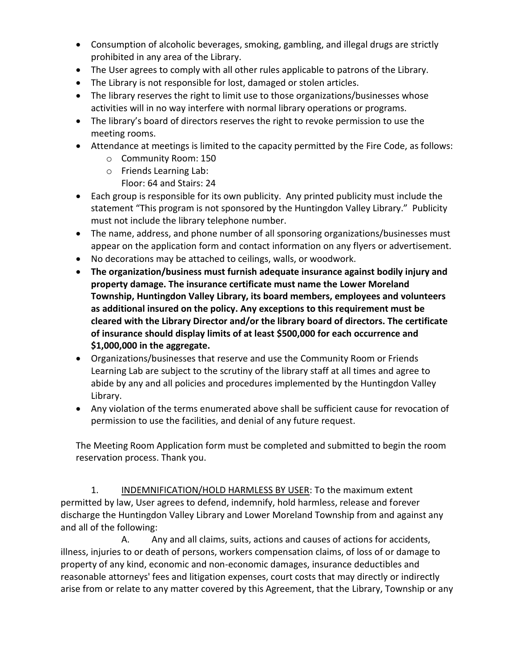- Consumption of alcoholic beverages, smoking, gambling, and illegal drugs are strictly prohibited in any area of the Library.
- The User agrees to comply with all other rules applicable to patrons of the Library.
- The Library is not responsible for lost, damaged or stolen articles.
- The library reserves the right to limit use to those organizations/businesses whose activities will in no way interfere with normal library operations or programs.
- The library's board of directors reserves the right to revoke permission to use the meeting rooms.
- Attendance at meetings is limited to the capacity permitted by the Fire Code, as follows:
	- o Community Room: 150
	- o Friends Learning Lab: Floor: 64 and Stairs: 24
- Each group is responsible for its own publicity. Any printed publicity must include the statement "This program is not sponsored by the Huntingdon Valley Library." Publicity must not include the library telephone number.
- The name, address, and phone number of all sponsoring organizations/businesses must appear on the application form and contact information on any flyers or advertisement.
- No decorations may be attached to ceilings, walls, or woodwork.
- **The organization/business must furnish adequate insurance against bodily injury and property damage. The insurance certificate must name the Lower Moreland Township, Huntingdon Valley Library, its board members, employees and volunteers as additional insured on the policy. Any exceptions to this requirement must be cleared with the Library Director and/or the library board of directors. The certificate of insurance should display limits of at least \$500,000 for each occurrence and \$1,000,000 in the aggregate.**
- Organizations/businesses that reserve and use the Community Room or Friends Learning Lab are subject to the scrutiny of the library staff at all times and agree to abide by any and all policies and procedures implemented by the Huntingdon Valley Library.
- Any violation of the terms enumerated above shall be sufficient cause for revocation of permission to use the facilities, and denial of any future request.

The Meeting Room Application form must be completed and submitted to begin the room reservation process. Thank you.

1. INDEMNIFICATION/HOLD HARMLESS BY USER: To the maximum extent permitted by law, User agrees to defend, indemnify, hold harmless, release and forever discharge the Huntingdon Valley Library and Lower Moreland Township from and against any and all of the following:

A. Any and all claims, suits, actions and causes of actions for accidents, illness, injuries to or death of persons, workers compensation claims, of loss of or damage to property of any kind, economic and non-economic damages, insurance deductibles and reasonable attorneys' fees and litigation expenses, court costs that may directly or indirectly arise from or relate to any matter covered by this Agreement, that the Library, Township or any